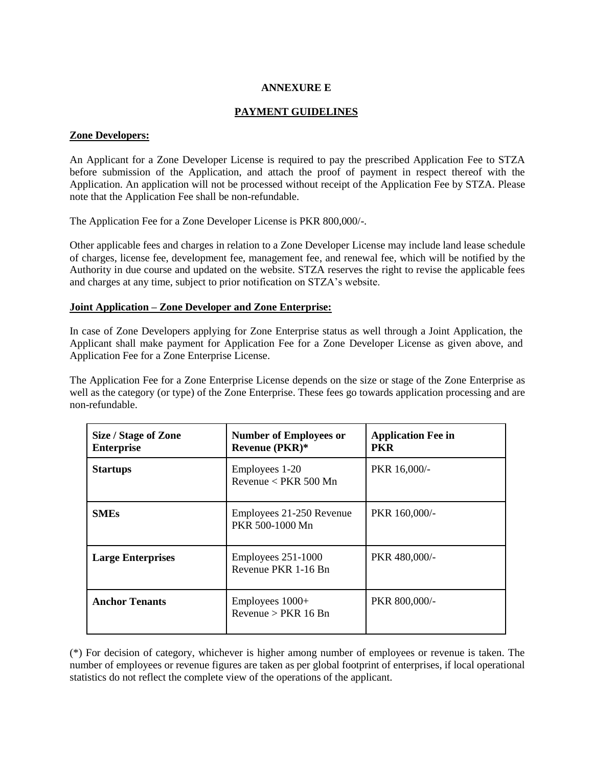# **ANNEXURE E**

# **PAYMENT GUIDELINES**

### **Zone Developers:**

An Applicant for a Zone Developer License is required to pay the prescribed Application Fee to STZA before submission of the Application, and attach the proof of payment in respect thereof with the Application. An application will not be processed without receipt of the Application Fee by STZA. Please note that the Application Fee shall be non-refundable.

The Application Fee for a Zone Developer License is PKR 800,000/-.

Other applicable fees and charges in relation to a Zone Developer License may include land lease schedule of charges, license fee, development fee, management fee, and renewal fee, which will be notified by the Authority in due course and updated on the website. STZA reserves the right to revise the applicable fees and charges at any time, subject to prior notification on STZA's website.

#### **Joint Application – Zone Developer and Zone Enterprise:**

In case of Zone Developers applying for Zone Enterprise status as well through a Joint Application, the Applicant shall make payment for Application Fee for a Zone Developer License as given above, and Application Fee for a Zone Enterprise License.

The Application Fee for a Zone Enterprise License depends on the size or stage of the Zone Enterprise as well as the category (or type) of the Zone Enterprise. These fees go towards application processing and are non-refundable.

| Size / Stage of Zone<br><b>Enterprise</b> | <b>Number of Employees or</b><br><b>Revenue (PKR)*</b> | <b>Application Fee in</b><br><b>PKR</b> |
|-------------------------------------------|--------------------------------------------------------|-----------------------------------------|
| <b>Startups</b>                           | Employees 1-20<br>Revenue $\langle$ PKR 500 Mn         | PKR 16,000/-                            |
| <b>SMEs</b>                               | Employees 21-250 Revenue<br>PKR 500-1000 Mn            | PKR 160,000/-                           |
| <b>Large Enterprises</b>                  | Employees 251-1000<br>Revenue PKR 1-16 Bn              | PKR 480,000/-                           |
| <b>Anchor Tenants</b>                     | Employees $1000+$<br>Revenue > $PKR$ 16 Bn             | PKR 800,000/-                           |

(\*) For decision of category, whichever is higher among number of employees or revenue is taken. The number of employees or revenue figures are taken as per global footprint of enterprises, if local operational statistics do not reflect the complete view of the operations of the applicant.